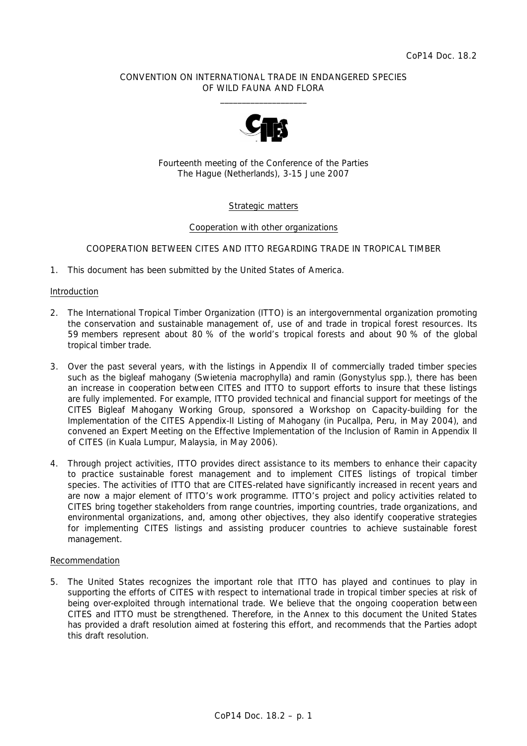# CONVENTION ON INTERNATIONAL TRADE IN ENDANGERED SPECIES OF WILD FAUNA AND FLORA  $\frac{1}{2}$  , and the set of the set of the set of the set of the set of the set of the set of the set of the set of the set of the set of the set of the set of the set of the set of the set of the set of the set of the set



Fourteenth meeting of the Conference of the Parties The Hague (Netherlands), 3-15 June 2007

# Strategic matters

# Cooperation with other organizations

# COOPERATION BETWEEN CITES AND ITTO REGARDING TRADE IN TROPICAL TIMBER

1. This document has been submitted by the United States of America.

### Introduction

- 2. The International Tropical Timber Organization (ITTO) is an intergovernmental organization promoting the conservation and sustainable management of, use of and trade in tropical forest resources. Its 59 members represent about 80 % of the world's tropical forests and about 90 % of the global tropical timber trade.
- 3. Over the past several years, with the listings in Appendix II of commercially traded timber species such as the bigleaf mahogany (*Swietenia macrophylla*) and ramin (*Gonystylus* spp.), there has been an increase in cooperation between CITES and ITTO to support efforts to insure that these listings are fully implemented. For example, ITTO provided technical and financial support for meetings of the CITES Bigleaf Mahogany Working Group, sponsored a Workshop on Capacity-building for the Implementation of the CITES Appendix-II Listing of Mahogany (in Pucallpa, Peru, in May 2004), and convened an Expert Meeting on the Effective Implementation of the Inclusion of Ramin in Appendix II of CITES (in Kuala Lumpur, Malaysia, in May 2006).
- 4. Through project activities, ITTO provides direct assistance to its members to enhance their capacity to practice sustainable forest management and to implement CITES listings of tropical timber species. The activities of ITTO that are CITES-related have significantly increased in recent years and are now a major element of ITTO's work programme. ITTO's project and policy activities related to CITES bring together stakeholders from range countries, importing countries, trade organizations, and environmental organizations, and, among other objectives, they also identify cooperative strategies for implementing CITES listings and assisting producer countries to achieve sustainable forest management.

### Recommendation

5. The United States recognizes the important role that ITTO has played and continues to play in supporting the efforts of CITES with respect to international trade in tropical timber species at risk of being over-exploited through international trade. We believe that the ongoing cooperation between CITES and ITTO must be strengthened. Therefore, in the Annex to this document the United States has provided a draft resolution aimed at fostering this effort, and recommends that the Parties adopt this draft resolution.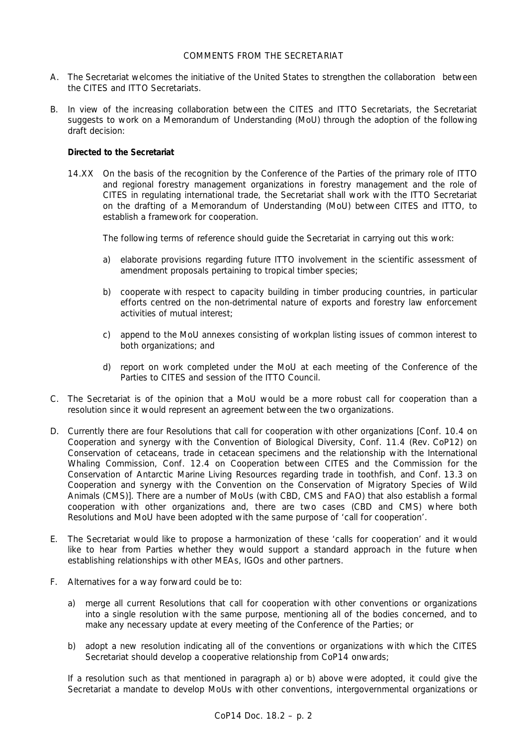# COMMENTS FROM THE SECRETARIAT

- A. The Secretariat welcomes the initiative of the United States to strengthen the collaboration between the CITES and ITTO Secretariats.
- B. In view of the increasing collaboration between the CITES and ITTO Secretariats, the Secretariat suggests to work on a Memorandum of Understanding (MoU) through the adoption of the following draft decision:

# *Directed to the Secretariat*

 14.XX On the basis of the recognition by the Conference of the Parties of the primary role of ITTO and regional forestry management organizations in forestry management and the role of CITES in regulating international trade, the Secretariat shall work with the ITTO Secretariat on the drafting of a Memorandum of Understanding (MoU) between CITES and ITTO, to establish a framework for cooperation.

The following terms of reference should guide the Secretariat in carrying out this work:

- a) elaborate provisions regarding future ITTO involvement in the scientific assessment of amendment proposals pertaining to tropical timber species;
- b) cooperate with respect to capacity building in timber producing countries, in particular efforts centred on the non-detrimental nature of exports and forestry law enforcement activities of mutual interest;
- c) append to the MoU annexes consisting of workplan listing issues of common interest to both organizations; and
- d) report on work completed under the MoU at each meeting of the Conference of the Parties to CITES and session of the ITTO Council.
- C. The Secretariat is of the opinion that a MoU would be a more robust call for cooperation than a resolution since it would represent an agreement between the two organizations.
- D. Currently there are four Resolutions that call for cooperation with other organizations [Conf. 10.4 on Cooperation and synergy with the Convention of Biological Diversity, Conf. 11.4 (Rev. CoP12) on Conservation of cetaceans, trade in cetacean specimens and the relationship with the International Whaling Commission, Conf. 12.4 on Cooperation between CITES and the Commission for the Conservation of Antarctic Marine Living Resources regarding trade in toothfish, and Conf. 13.3 on Cooperation and synergy with the Convention on the Conservation of Migratory Species of Wild Animals (CMS)]. There are a number of MoUs (with CBD, CMS and FAO) that also establish a formal cooperation with other organizations and, there are two cases (CBD and CMS) where both Resolutions and MoU have been adopted with the same purpose of 'call for cooperation'.
- E. The Secretariat would like to propose a harmonization of these 'calls for cooperation' and it would like to hear from Parties whether they would support a standard approach in the future when establishing relationships with other MEAs, IGOs and other partners.
- F. Alternatives for a way forward could be to:
	- a) merge all current Resolutions that call for cooperation with other conventions or organizations into a single resolution with the same purpose, mentioning all of the bodies concerned, and to make any necessary update at every meeting of the Conference of the Parties; or
	- b) adopt a new resolution indicating all of the conventions or organizations with which the CITES Secretariat should develop a cooperative relationship from CoP14 onwards;

 If a resolution such as that mentioned in paragraph a) or b) above were adopted, it could give the Secretariat a mandate to develop MoUs with other conventions, intergovernmental organizations or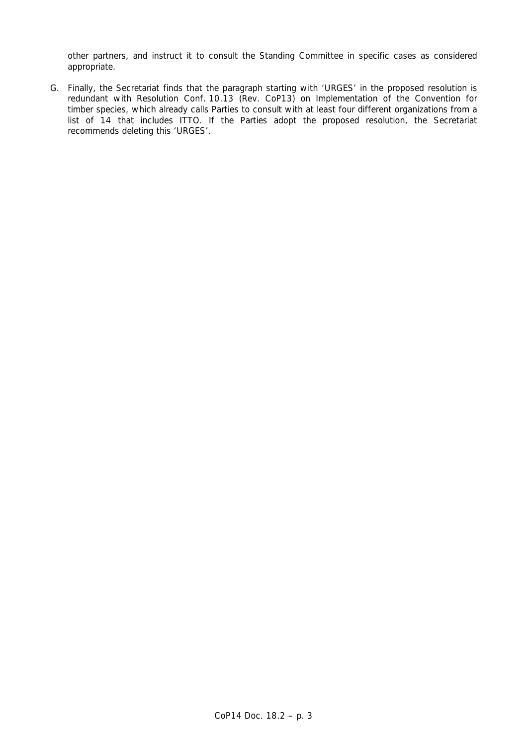other partners, and instruct it to consult the Standing Committee in specific cases as considered appropriate.

G. Finally, the Secretariat finds that the paragraph starting with 'URGES' in the proposed resolution is redundant with Resolution Conf. 10.13 (Rev. CoP13) on Implementation of the Convention for timber species, which already calls Parties to consult with at least four different organizations from a list of 14 that includes ITTO. If the Parties adopt the proposed resolution, the Secretariat recommends deleting this 'URGES'.